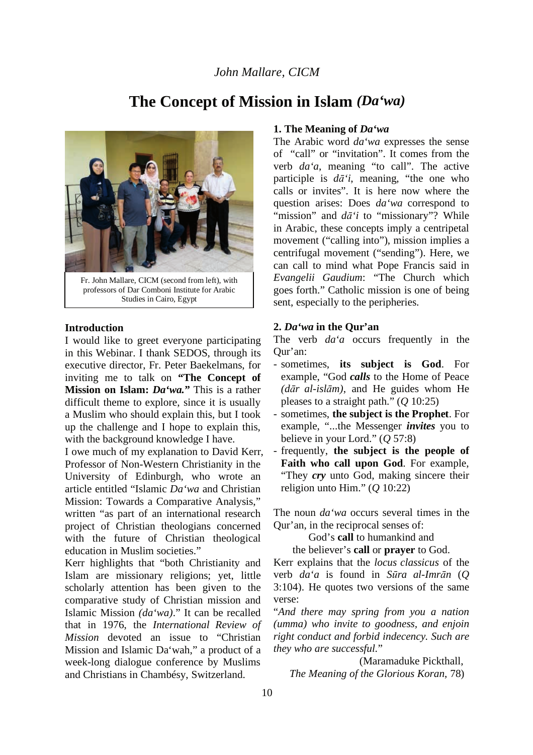# *John Mallare, CICM*

# **The Concept of Mission in Islam** *(Da'wa)*



Fr. John Mallare, CICM (second from left), with professors of Dar Comboni Institute for Arabic Studies in Cairo, Egypt

#### **Introduction**

I would like to greet everyone participating in this Webinar. I thank SEDOS, through its executive director, Fr. Peter Baekelmans, for inviting me to talk on **"The Concept of Mission on Islam:** *Da'wa.***"** This is a rather difficult theme to explore, since it is usually a Muslim who should explain this, but I took up the challenge and I hope to explain this, with the background knowledge I have.

I owe much of my explanation to David Kerr, Professor of Non-Western Christianity in the University of Edinburgh, who wrote an article entitled "Islamic *Da'wa* and Christian Mission: Towards a Comparative Analysis," written "as part of an international research project of Christian theologians concerned with the future of Christian theological education in Muslim societies."

Kerr highlights that "both Christianity and Islam are missionary religions; yet, little scholarly attention has been given to the comparative study of Christian mission and Islamic Mission *(da'wa)*." It can be recalled that in 1976, the *International Review of Mission* devoted an issue to "Christian Mission and Islamic Da'wah," a product of a week-long dialogue conference by Muslims and Christians in Chambésy, Switzerland.

#### **1. The Meaning of** *Da'wa*

The Arabic word *da'wa* expresses the sense of "call" or "invitation". It comes from the verb *da'a*, meaning "to call". The active participle is  $d\bar{a}$ <sup>*'i*</sup>, meaning, "the one who calls or invites". It is here now where the question arises: Does *da'wa* correspond to "mission" and  $d\bar{a}$ <sup>'</sup>*i* to "missionary"? While in Arabic, these concepts imply a centripetal movement ("calling into"), mission implies a centrifugal movement ("sending"). Here, we can call to mind what Pope Francis said in *Evangelii Gaudium*: "The Church which goes forth." Catholic mission is one of being sent, especially to the peripheries.

#### **2.** *Da'wa* **in the Qur'an**

The verb *da'a* occurs frequently in the Qur'an:

- sometimes, **its subject is God**. For example, "God *calls* to the Home of Peace *(dār al-islām)*, and He guides whom He pleases to a straight path." (*Q* 10:25)
- sometimes, **the subject is the Prophet**. For example, "...the Messenger *invites* you to believe in your Lord." (*Q* 57:8)
- frequently, **the subject is the people of Faith who call upon God**. For example, "They *cry* unto God, making sincere their religion unto Him." (*Q* 10:22)

The noun *da'wa* occurs several times in the Qur'an, in the reciprocal senses of:

God's **call** to humankind and

the believer's **call** or **prayer** to God.

Kerr explains that the *locus classicus* of the verb *da'a* is found in *Sūra al-Imrān* (*Q*  3:104). He quotes two versions of the same verse:

"*And there may spring from you a nation (umma) who invite to goodness, and enjoin right conduct and forbid indecency. Such are they who are successful.*"

(Maramaduke Pickthall, *The Meaning of the Glorious Koran*, 78)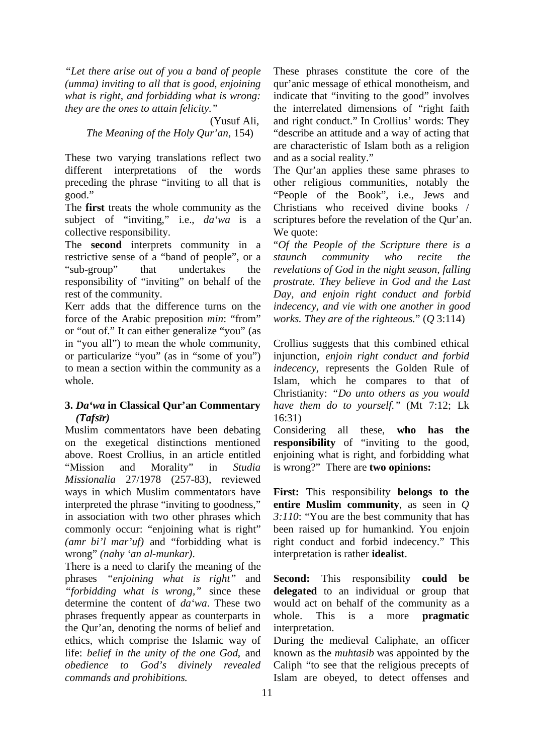*"Let there arise out of you a band of people (umma) inviting to all that is good, enjoining what is right, and forbidding what is wrong: they are the ones to attain felicity."*

> (Yusuf Ali, *The Meaning of the Holy Qur'an*, 154)

These two varying translations reflect two different interpretations of the words preceding the phrase "inviting to all that is good."

The **first** treats the whole community as the subject of "inviting," i.e., *da'wa* is a collective responsibility.

The **second** interprets community in a restrictive sense of a "band of people", or a "sub-group" that undertakes the responsibility of "inviting" on behalf of the rest of the community.

Kerr adds that the difference turns on the force of the Arabic preposition *min*: "from" or "out of." It can either generalize "you" (as in "you all") to mean the whole community, or particularize "you" (as in "some of you") to mean a section within the community as a whole.

# **3.** *Da'wa* **in Classical Qur'an Commentary**  *(Tafsīr)*

Muslim commentators have been debating on the exegetical distinctions mentioned above. Roest Crollius, in an article entitled "Mission and Morality" in *Studia Missionalia* 27/1978 (257-83), reviewed ways in which Muslim commentators have interpreted the phrase "inviting to goodness," in association with two other phrases which commonly occur: "enjoining what is right" *(amr bi'l mar'uf)* and "forbidding what is wrong" *(nahy 'an al-munkar)*.

There is a need to clarify the meaning of the phrases *"enjoining what is right"* and *"forbidding what is wrong,"* since these determine the content of *da'wa*. These two phrases frequently appear as counterparts in the Qur'an, denoting the norms of belief and ethics, which comprise the Islamic way of life: *belief in the unity of the one God*, and *obedience to God's divinely revealed commands and prohibitions.*

These phrases constitute the core of the qur'anic message of ethical monotheism, and indicate that "inviting to the good" involves the interrelated dimensions of "right faith and right conduct." In Crollius' words: They "describe an attitude and a way of acting that are characteristic of Islam both as a religion and as a social reality."

The Qur'an applies these same phrases to other religious communities, notably the "People of the Book", i.e., Jews and Christians who received divine books / scriptures before the revelation of the Qur'an. We quote:

"*Of the People of the Scripture there is a staunch community who recite the revelations of God in the night season, falling prostrate. They believe in God and the Last Day, and enjoin right conduct and forbid indecency, and vie with one another in good works. They are of the righteous.*" (*Q* 3:114)

Crollius suggests that this combined ethical injunction, *enjoin right conduct and forbid indecency*, represents the Golden Rule of Islam, which he compares to that of Christianity: *"Do unto others as you would have them do to yourself."* (Mt 7:12; Lk 16:31)

Considering all these, **who has the responsibility** of "inviting to the good, enjoining what is right, and forbidding what is wrong?" There are **two opinions:**

**First:** This responsibility **belongs to the entire Muslim community**, as seen in *Q 3:110*: "You are the best community that has been raised up for humankind. You enjoin right conduct and forbid indecency." This interpretation is rather **idealist**.

**Second:** This responsibility **could be delegated** to an individual or group that would act on behalf of the community as a whole. This is a more **pragmatic** interpretation.

During the medieval Caliphate, an officer known as the *muhtasib* was appointed by the Caliph "to see that the religious precepts of Islam are obeyed, to detect offenses and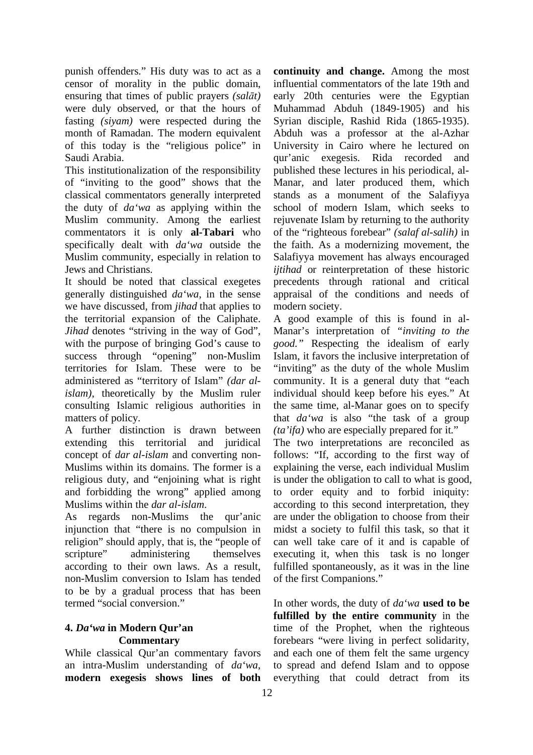punish offenders." His duty was to act as a censor of morality in the public domain, ensuring that times of public prayers *(salāt)* were duly observed, or that the hours of fasting *(siyam)* were respected during the month of Ramadan. The modern equivalent of this today is the "religious police" in Saudi Arabia.

This institutionalization of the responsibility of "inviting to the good" shows that the classical commentators generally interpreted the duty of *da'wa* as applying within the Muslim community. Among the earliest commentators it is only **al-Tabari** who specifically dealt with *da'wa* outside the Muslim community, especially in relation to Jews and Christians.

It should be noted that classical exegetes generally distinguished *da'wa*, in the sense we have discussed, from *jihad* that applies to the territorial expansion of the Caliphate. *Jihad* denotes "striving in the way of God", with the purpose of bringing God's cause to success through "opening" non-Muslim territories for Islam. These were to be administered as "territory of Islam" *(dar alislam)*, theoretically by the Muslim ruler consulting Islamic religious authorities in matters of policy.

A further distinction is drawn between extending this territorial and juridical concept of *dar al-islam* and converting non-Muslims within its domains. The former is a religious duty, and "enjoining what is right and forbidding the wrong" applied among Muslims within the *dar al-islam*.

As regards non-Muslims the qur'anic injunction that "there is no compulsion in religion" should apply, that is, the "people of scripture" administering themselves according to their own laws. As a result, non-Muslim conversion to Islam has tended to be by a gradual process that has been termed "social conversion."

## **4.** *Da'wa* **in Modern Qur'an Commentary**

While classical Qur'an commentary favors an intra-Muslim understanding of *da'wa*, **modern exegesis shows lines of both**  **continuity and change.** Among the most influential commentators of the late 19th and early 20th centuries were the Egyptian Muhammad Abduh (1849-1905) and his Syrian disciple, Rashid Rida (1865-1935). Abduh was a professor at the al-Azhar University in Cairo where he lectured on qur'anic exegesis. Rida recorded and published these lectures in his periodical, al-Manar, and later produced them, which stands as a monument of the Salafiyya school of modern Islam, which seeks to rejuvenate Islam by returning to the authority of the "righteous forebear" *(salaf al-salih)* in the faith. As a modernizing movement, the Salafiyya movement has always encouraged *ijtihad* or reinterpretation of these historic precedents through rational and critical appraisal of the conditions and needs of modern society.

A good example of this is found in al-Manar's interpretation of *"inviting to the good."* Respecting the idealism of early Islam, it favors the inclusive interpretation of "inviting" as the duty of the whole Muslim community. It is a general duty that "each individual should keep before his eyes." At the same time, al-Manar goes on to specify that *da'wa* is also "the task of a group *(ta'ifa)* who are especially prepared for it."

The two interpretations are reconciled as follows: "If, according to the first way of explaining the verse, each individual Muslim is under the obligation to call to what is good, to order equity and to forbid iniquity: according to this second interpretation, they are under the obligation to choose from their midst a society to fulfil this task, so that it can well take care of it and is capable of executing it, when this task is no longer fulfilled spontaneously, as it was in the line of the first Companions."

In other words, the duty of *da'wa* **used to be fulfilled by the entire community** in the time of the Prophet, when the righteous forebears "were living in perfect solidarity, and each one of them felt the same urgency to spread and defend Islam and to oppose everything that could detract from its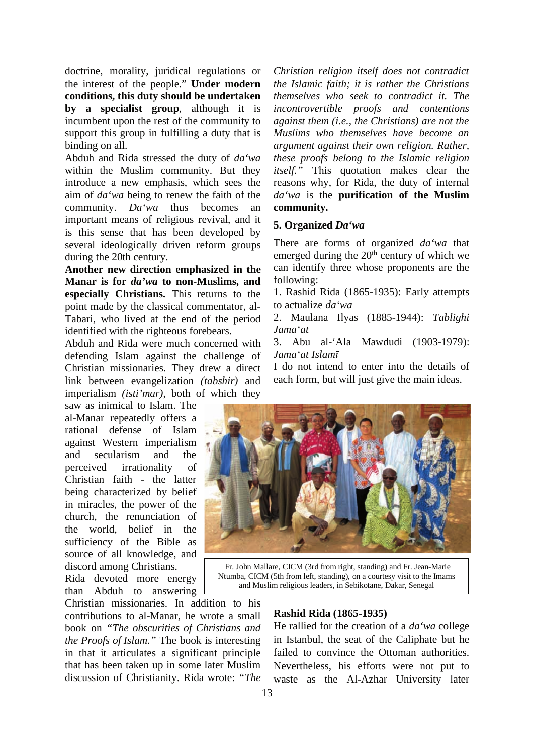doctrine, morality, juridical regulations or the interest of the people." **Under modern conditions, this duty should be undertaken by a specialist group**, although it is incumbent upon the rest of the community to support this group in fulfilling a duty that is binding on all.

Abduh and Rida stressed the duty of *da'wa* within the Muslim community. But they introduce a new emphasis, which sees the aim of *da'wa* being to renew the faith of the community. *Da'wa* thus becomes an important means of religious revival, and it is this sense that has been developed by several ideologically driven reform groups during the 20th century.

**Another new direction emphasized in the Manar is for** *da'wa* **to non-Muslims, and especially Christians.** This returns to the point made by the classical commentator, al-Tabari, who lived at the end of the period identified with the righteous forebears.

Abduh and Rida were much concerned with defending Islam against the challenge of Christian missionaries. They drew a direct link between evangelization *(tabshir)* and imperialism *(isti'mar)*, both of which they

saw as inimical to Islam. The al-Manar repeatedly offers a rational defense of Islam against Western imperialism and secularism and the perceived irrationality of Christian faith - the latter being characterized by belief in miracles, the power of the church, the renunciation of the world, belief in the sufficiency of the Bible as source of all knowledge, and discord among Christians.

Rida devoted more energy than Abduh to answering

Christian missionaries. In addition to his contributions to al-Manar, he wrote a small book on *"The obscurities of Christians and the Proofs of Islam."* The book is interesting in that it articulates a significant principle that has been taken up in some later Muslim discussion of Christianity. Rida wrote: *"The* 

*Christian religion itself does not contradict the Islamic faith; it is rather the Christians themselves who seek to contradict it. The incontrovertible proofs and contentions against them (i.e., the Christians) are not the Muslims who themselves have become an argument against their own religion. Rather, these proofs belong to the Islamic religion itself."* This quotation makes clear the reasons why, for Rida, the duty of internal *da'wa* is the **purification of the Muslim community.**

#### **5. Organized** *Da'wa*

There are forms of organized *da'wa* that emerged during the  $20<sup>th</sup>$  century of which we can identify three whose proponents are the following:

1. Rashid Rida (1865-1935): Early attempts to actualize *da'wa*

2. Maulana Ilyas (1885-1944): *Tablighi Jama'at*

3. Abu al-'Ala Mawdudi (1903-1979): *Jama'at Islamī*

I do not intend to enter into the details of each form, but will just give the main ideas.



Fr. John Mallare, CICM (3rd from right, standing) and Fr. Jean-Marie Ntumba, CICM (5th from left, standing), on a courtesy visit to the Imams and Muslim religious leaders, in Sebikotane, Dakar, Senegal

.

# **Rashid Rida (1865-1935)**

He rallied for the creation of a *da'wa* college in Istanbul, the seat of the Caliphate but he failed to convince the Ottoman authorities. Nevertheless, his efforts were not put to waste as the Al-Azhar University later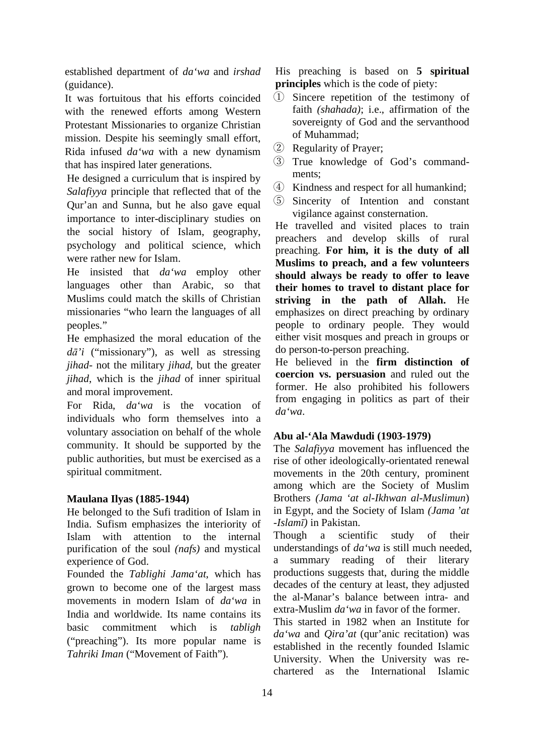established department of *da'wa* and *irshad* (guidance).

It was fortuitous that his efforts coincided with the renewed efforts among Western Protestant Missionaries to organize Christian mission. Despite his seemingly small effort, Rida infused *da'wa* with a new dynamism that has inspired later generations.

He designed a curriculum that is inspired by *Salafiyya* principle that reflected that of the Qur'an and Sunna, but he also gave equal importance to inter-disciplinary studies on the social history of Islam, geography, psychology and political science, which were rather new for Islam.

He insisted that *da'wa* employ other languages other than Arabic, so that Muslims could match the skills of Christian missionaries "who learn the languages of all peoples."

He emphasized the moral education of the *dā'i* ("missionary"), as well as stressing *jihad*- not the military *jihad*, but the greater *jihad*, which is the *jihad* of inner spiritual and moral improvement.

For Rida, *da'wa* is the vocation of individuals who form themselves into a voluntary association on behalf of the whole community. It should be supported by the public authorities, but must be exercised as a spiritual commitment.

## **Maulana Ilyas (1885-1944)**

He belonged to the Sufi tradition of Islam in India. Sufism emphasizes the interiority of Islam with attention to the internal purification of the soul *(nafs)* and mystical experience of God.

Founded the *Tablighi Jama'at*, which has grown to become one of the largest mass movements in modern Islam of *da'wa* in India and worldwide. Its name contains its basic commitment which is *tabligh*  ("preaching"). Its more popular name is *Tahriki Iman* ("Movement of Faith").

His preaching is based on **5 spiritual principles** which is the code of piety:

- ① Sincere repetition of the testimony of faith *(shahada)*; i.e., affirmation of the sovereignty of God and the servanthood of Muhammad;
- ② Regularity of Prayer;
- ③ True knowledge of God's commandments;
- ④ Kindness and respect for all humankind;
- ⑤ Sincerity of Intention and constant vigilance against consternation.

He travelled and visited places to train preachers and develop skills of rural preaching. **For him, it is the duty of all Muslims to preach, and a few volunteers should always be ready to offer to leave their homes to travel to distant place for striving in the path of Allah.** He emphasizes on direct preaching by ordinary people to ordinary people. They would either visit mosques and preach in groups or do person-to-person preaching.

He believed in the **firm distinction of coercion vs. persuasion** and ruled out the former. He also prohibited his followers from engaging in politics as part of their *da'wa*.

# **Abu al-'Ala Mawdudi (1903-1979)**

The *Salafiyya* movement has influenced the rise of other ideologically-orientated renewal movements in the 20th century, prominent among which are the Society of Muslim Brothers *(Jama 'at al-Ikhwan al-Muslimun*) in Egypt, and the Society of Islam *(Jama 'at -Islamī)* in Pakistan.

Though a scientific study of their understandings of *da'wa* is still much needed, a summary reading of their literary productions suggests that, during the middle decades of the century at least, they adjusted the al-Manar's balance between intra- and extra-Muslim *da'wa* in favor of the former.

This started in 1982 when an Institute for *da'wa* and *Qira'at* (qur'anic recitation) was established in the recently founded Islamic University. When the University was rechartered as the International Islamic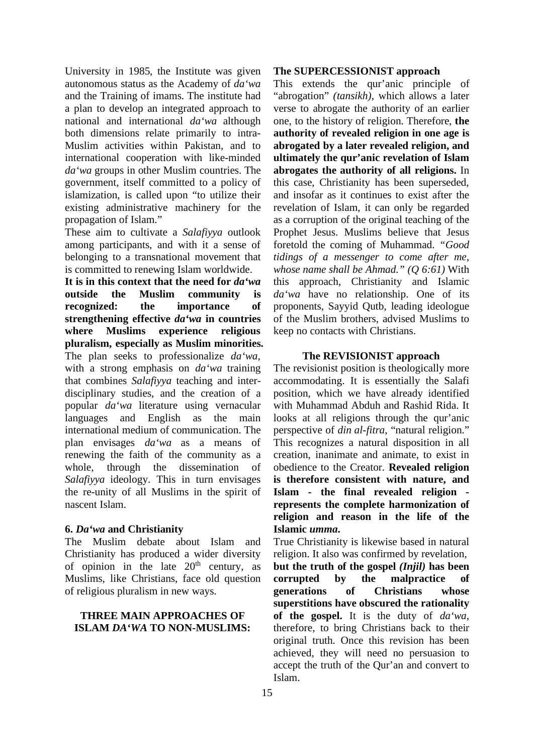University in 1985, the Institute was given autonomous status as the Academy of *da'wa* and the Training of imams. The institute had a plan to develop an integrated approach to national and international *da'wa* although both dimensions relate primarily to intra-Muslim activities within Pakistan, and to international cooperation with like-minded *da'wa* groups in other Muslim countries. The government, itself committed to a policy of islamization, is called upon "to utilize their existing administrative machinery for the propagation of Islam."

These aim to cultivate a *Salafiyya* outlook among participants, and with it a sense of belonging to a transnational movement that is committed to renewing Islam worldwide.

**It is in this context that the need for** *da'wa*  **outside the Muslim community is recognized: the importance of strengthening effective** *da'wa* **in countries where Muslims experience religious pluralism, especially as Muslim minorities.** The plan seeks to professionalize *da'wa*, with a strong emphasis on *da'wa* training that combines *Salafiyya* teaching and interdisciplinary studies, and the creation of a popular *da'wa* literature using vernacular languages and English as the main international medium of communication. The plan envisages *da'wa* as a means of renewing the faith of the community as a whole, through the dissemination of *Salafiyya* ideology. This in turn envisages the re-unity of all Muslims in the spirit of nascent Islam.

## **6.** *Da'wa* **and Christianity**

The Muslim debate about Islam and Christianity has produced a wider diversity of opinion in the late  $20<sup>th</sup>$  century, as Muslims, like Christians, face old question of religious pluralism in new ways.

## **THREE MAIN APPROACHES OF ISLAM** *DA'WA* **TO NON-MUSLIMS:**

## **The SUPERCESSIONIST approach**

This extends the qur'anic principle of "abrogation" *(tansikh)*, which allows a later verse to abrogate the authority of an earlier one, to the history of religion. Therefore, **the authority of revealed religion in one age is abrogated by a later revealed religion, and ultimately the qur'anic revelation of Islam abrogates the authority of all religions.** In this case, Christianity has been superseded, and insofar as it continues to exist after the revelation of Islam, it can only be regarded as a corruption of the original teaching of the Prophet Jesus. Muslims believe that Jesus foretold the coming of Muhammad. *"Good tidings of a messenger to come after me, whose name shall be Ahmad." (Q 6:61)* With this approach, Christianity and Islamic *da'wa* have no relationship. One of its proponents, Sayyid Qutb, leading ideologue of the Muslim brothers, advised Muslims to keep no contacts with Christians.

## **The REVISIONIST approach**

The revisionist position is theologically more accommodating. It is essentially the Salafi position, which we have already identified with Muhammad Abduh and Rashid Rida. It looks at all religions through the qur'anic perspective of *din al-fitra*, "natural religion." This recognizes a natural disposition in all creation, inanimate and animate, to exist in obedience to the Creator. **Revealed religion is therefore consistent with nature, and Islam - the final revealed religion represents the complete harmonization of religion and reason in the life of the Islamic** *umma***.**

True Christianity is likewise based in natural religion. It also was confirmed by revelation, **but the truth of the gospel** *(Injil)* **has been corrupted by the malpractice of generations of Christians whose superstitions have obscured the rationality of the gospel.** It is the duty of *da'wa*, therefore, to bring Christians back to their original truth. Once this revision has been achieved, they will need no persuasion to accept the truth of the Qur'an and convert to Islam.